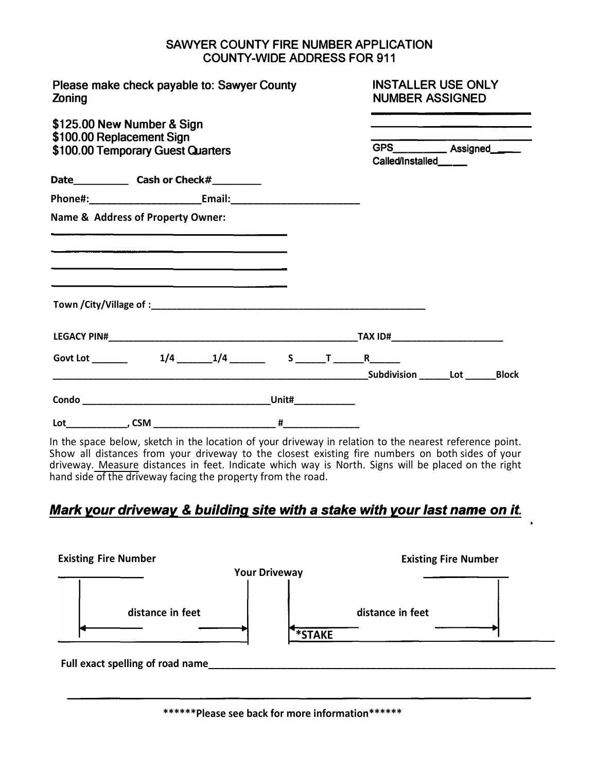## **SAWYER COUNTY FIRE NUMBER APPLICATION COUNTY-WIDE ADDRESS FOR 911**

| Please make check payable to: Sawyer County<br>Zoning<br>\$125.00 New Number & Sign<br>\$100.00 Replacement Sign<br>\$100.00 Temporary Guest Quarters |                                                                                 |  | <b>INSTALLER USE ONLY</b><br><b>NUMBER ASSIGNED</b><br><u> Andrew Addition and Addition and Addition and Addition and Addition and Addition and Addition and Addition and Addition and Addition and Addition and Addition and Addition and Addition and Addition and Addition and Addit</u> |                                                                                                                                                           |  |
|-------------------------------------------------------------------------------------------------------------------------------------------------------|---------------------------------------------------------------------------------|--|---------------------------------------------------------------------------------------------------------------------------------------------------------------------------------------------------------------------------------------------------------------------------------------------|-----------------------------------------------------------------------------------------------------------------------------------------------------------|--|
|                                                                                                                                                       |                                                                                 |  | Called/Installed_____                                                                                                                                                                                                                                                                       | <u> Andreas Andreas Andreas Andreas Andreas Andreas Andreas Andreas Andreas Andreas Andreas Andreas Andreas Andreas</u><br>GPS____________ Assigned______ |  |
|                                                                                                                                                       |                                                                                 |  |                                                                                                                                                                                                                                                                                             |                                                                                                                                                           |  |
|                                                                                                                                                       |                                                                                 |  |                                                                                                                                                                                                                                                                                             |                                                                                                                                                           |  |
| Name & Address of Property Owner:                                                                                                                     | <u> 1980 - Andrea Andrew Maria (h. 1980).</u><br>2001 - Andrew Maria (h. 1980). |  |                                                                                                                                                                                                                                                                                             |                                                                                                                                                           |  |
|                                                                                                                                                       |                                                                                 |  |                                                                                                                                                                                                                                                                                             |                                                                                                                                                           |  |
|                                                                                                                                                       |                                                                                 |  |                                                                                                                                                                                                                                                                                             |                                                                                                                                                           |  |
|                                                                                                                                                       |                                                                                 |  |                                                                                                                                                                                                                                                                                             |                                                                                                                                                           |  |
|                                                                                                                                                       |                                                                                 |  |                                                                                                                                                                                                                                                                                             |                                                                                                                                                           |  |
|                                                                                                                                                       |                                                                                 |  |                                                                                                                                                                                                                                                                                             |                                                                                                                                                           |  |

In the space below, sketch in the location of your driveway in relation to the nearest reference point. Show all distances from your driveway to the closest existing fire numbers on both sides of your driveway. Measure distances in feet. Indicate which way is North. Signs will be placed on the right hand side of the driveway facing the property from the road.

## *Mark your driveway* & *building site with* **a** *stake with your last name on it.*

| <b>Existing Fire Number</b>      | <b>Existing Fire Number</b><br><b>Your Driveway</b> |
|----------------------------------|-----------------------------------------------------|
| distance in feet                 | distance in feet<br>$*\overline{\text{STATE}}$      |
| Full exact spelling of road name |                                                     |

**\*\*\*\*\*\*Please see back for more information\*\*\*\*\*\***